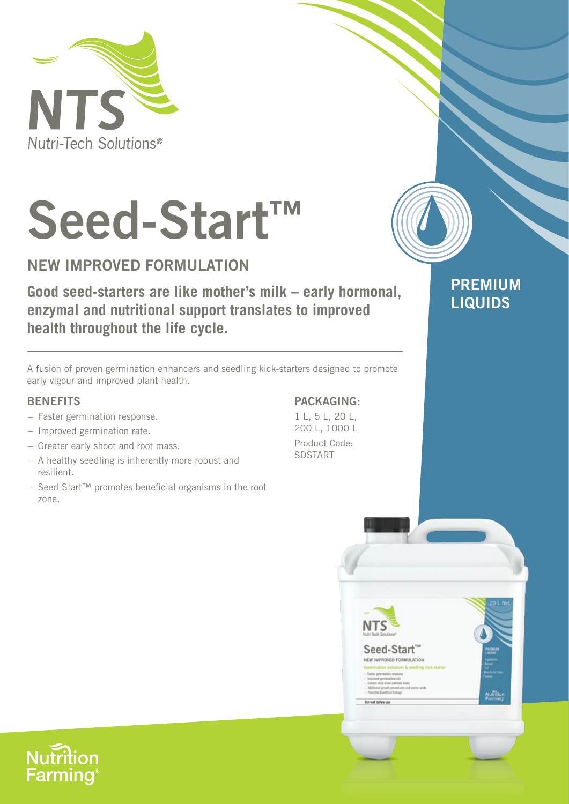

# **Seed-Start™**

## **NEW IMPROVED FORMULATION**

**Good seed-starters are like mother's milk – early hormonal, enzymal and nutritional support translates to improved health throughout the life cycle.**

A fusion of proven germination enhancers and seedling kick-starters designed to promote early vigour and improved plant health.

#### **BENEFITS**

- Faster germination response.
- Improved germination rate.
- Greater early shoot and root mass.
- A healthy seedling is inherently more robust and resilient.
- Seed-Start™ promotes beneficial organisms in the root zone.

### **PACKAGING:**

**PREMIUM** 

Nomb

**LIQUIDS**

1 L, 5 L, 20 L, 200 L, 1000 L Product Code: SDSTART

NTS

Seed-Start<sup>™</sup> NEW IMPROVED FORMULATION

**Nutrition Farming**